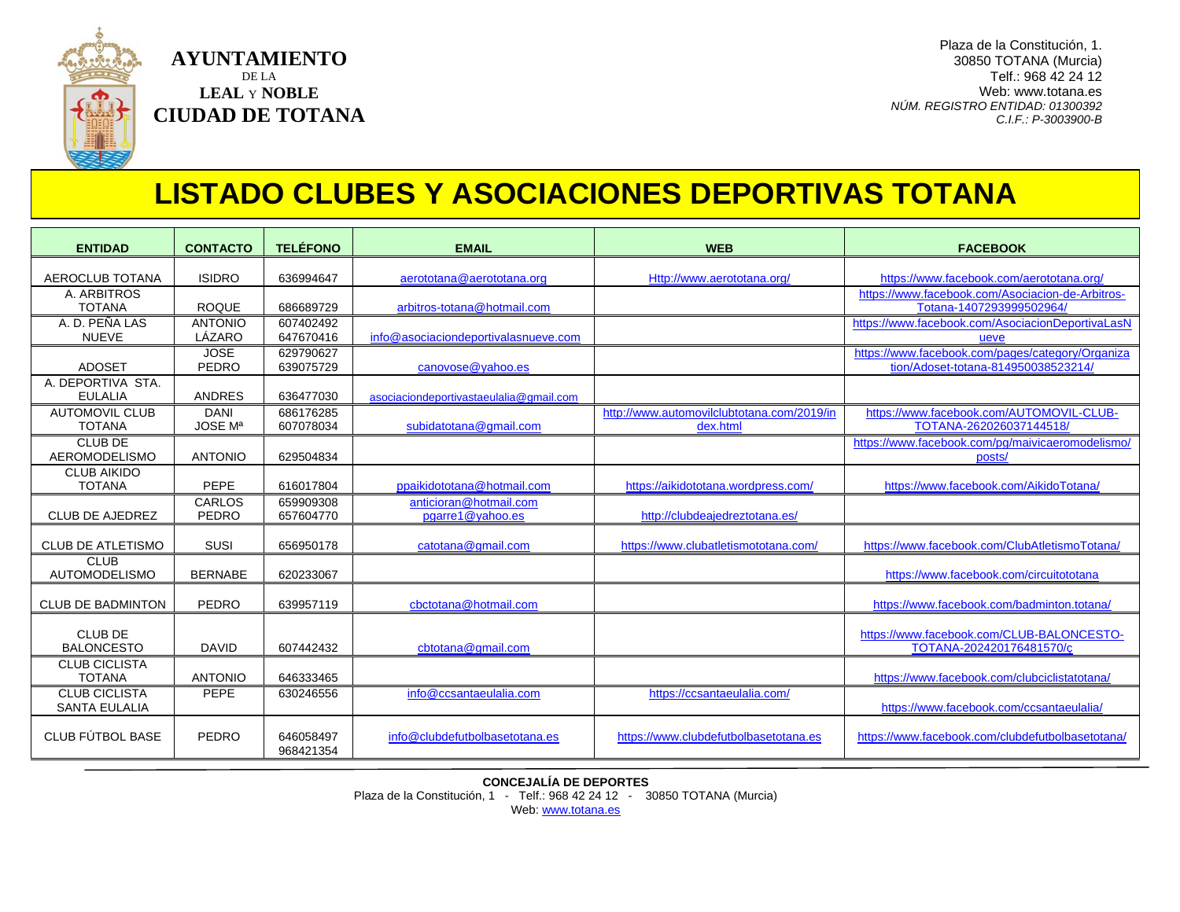

## **LISTADO CLUBES Y ASOCIACIONES DEPORTIVAS TOTANA**

| <b>ENTIDAD</b>                               | <b>CONTACTO</b>               | <b>TELÉFONO</b>        | <b>EMAIL</b>                               | <b>WEB</b>                                             | <b>FACEBOOK</b>                                                                         |
|----------------------------------------------|-------------------------------|------------------------|--------------------------------------------|--------------------------------------------------------|-----------------------------------------------------------------------------------------|
| AEROCLUB TOTANA                              | <b>ISIDRO</b>                 | 636994647              | aerototana@aerototana.org                  | Http://www.aerototana.org/                             | https://www.facebook.com/aerototana.org/                                                |
| A. ARBITROS<br><b>TOTANA</b>                 | <b>ROQUE</b>                  | 686689729              | arbitros-totana@hotmail.com                |                                                        | https://www.facebook.com/Asociacion-de-Arbitros-<br>Totana-1407293999502964/            |
| A. D. PEÑA LAS<br><b>NUEVE</b>               | <b>ANTONIO</b><br>LÁZARO      | 607402492<br>647670416 | info@asociaciondeportivalasnueve.com       |                                                        | https://www.facebook.com/AsociacionDeportivaLasN<br>ueve                                |
| <b>ADOSET</b>                                | <b>JOSE</b><br>PEDRO          | 629790627<br>639075729 | canovose@yahoo.es                          |                                                        | https://www.facebook.com/pages/category/Organiza<br>tion/Adoset-totana-814950038523214/ |
| A. DEPORTIVA STA.<br><b>EULALIA</b>          | <b>ANDRES</b>                 | 636477030              | asociaciondeportivastaeulalia@gmail.com    |                                                        |                                                                                         |
| <b>AUTOMOVIL CLUB</b><br><b>TOTANA</b>       | <b>DANI</b><br><b>JOSE Ma</b> | 686176285<br>607078034 | subidatotana@gmail.com                     | http://www.automovilclubtotana.com/2019/in<br>dex.html | https://www.facebook.com/AUTOMOVIL-CLUB-<br>TOTANA-262026037144518/                     |
| <b>CLUB DE</b><br><b>AEROMODELISMO</b>       | <b>ANTONIO</b>                | 629504834              |                                            |                                                        | https://www.facebook.com/pg/majvicaeromodelismo/<br>posts/                              |
| <b>CLUB AIKIDO</b><br><b>TOTANA</b>          | <b>PEPE</b>                   | 616017804              | ppaikidototana@hotmail.com                 | https://aikidototana.wordpress.com/                    | https://www.facebook.com/AikidoTotana/                                                  |
| <b>CLUB DE AJEDREZ</b>                       | <b>CARLOS</b><br><b>PEDRO</b> | 659909308<br>657604770 | anticioran@hotmail.com<br>pgarre1@yahoo.es | http://clubdeajedreztotana.es/                         |                                                                                         |
| <b>CLUB DE ATLETISMO</b>                     | <b>SUSI</b>                   | 656950178              | catotana@gmail.com                         | https://www.clubatletismototana.com/                   | https://www.facebook.com/ClubAtletismoTotana/                                           |
| <b>CLUB</b><br>AUTOMODELISMO                 | <b>BERNABE</b>                | 620233067              |                                            |                                                        | https://www.facebook.com/circuitototana                                                 |
| <b>CLUB DE BADMINTON</b>                     | <b>PEDRO</b>                  | 639957119              | cbctotana@hotmail.com                      |                                                        | https://www.facebook.com/badminton.totana/                                              |
| <b>CLUB DE</b><br><b>BALONCESTO</b>          | <b>DAVID</b>                  | 607442432              | cbtotana@gmail.com                         |                                                        | https://www.facebook.com/CLUB-BALONCESTO-<br>TOTANA-202420176481570/c                   |
| <b>CLUB CICLISTA</b><br><b>TOTANA</b>        | <b>ANTONIO</b>                | 646333465              |                                            |                                                        | https://www.facebook.com/clubciclistatotana/                                            |
| <b>CLUB CICLISTA</b><br><b>SANTA EULALIA</b> | <b>PEPE</b>                   | 630246556              | info@ccsantaeulalia.com                    | https://ccsantaeulalia.com/                            | https://www.facebook.com/ccsantaeulalia/                                                |
| CLUB FÚTBOL BASE                             | PEDRO                         | 646058497<br>968421354 | info@clubdefutbolbasetotana.es             | https://www.clubdefutbolbasetotana.es                  | https://www.facebook.com/clubdefutbolbasetotana/                                        |

**CONCEJALÍA DE DEPORTES**

Plaza de la Constitución, 1 - Telf.: 968 42 24 12 - 30850 TOTANA (Murcia)

Web: [www.totana.es](http://www.totana.es/)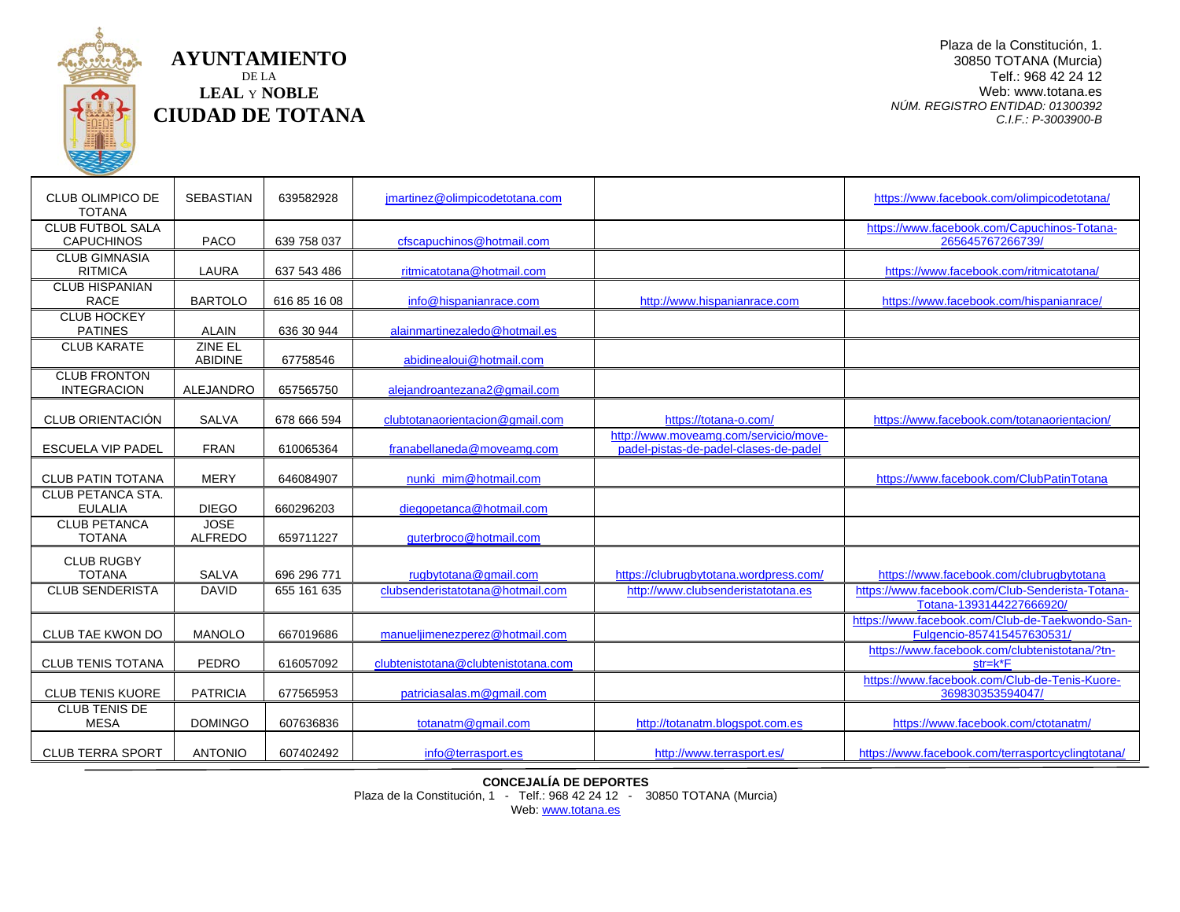

**AYUNTAMIENTO** DE LA **LEAL** Y **NOBLE CIUDAD DE TOTANA**

Plaza de la Constitución, 1. 30850 TOTANA (Murcia) Telf.: 968 42 24 12 Web: www.totana.es *NÚM. REGISTRO ENTIDAD: 01300392 C.I.F.: P-3003900-B*

| <b>CLUB OLIMPICO DE</b><br><b>TOTANA</b>     | <b>SEBASTIAN</b>              | 639582928    | jmartinez@olimpicodetotana.com      |                                                                                | https://www.facebook.com/olimpicodetotana/                                    |
|----------------------------------------------|-------------------------------|--------------|-------------------------------------|--------------------------------------------------------------------------------|-------------------------------------------------------------------------------|
| <b>CLUB FUTBOL SALA</b><br><b>CAPUCHINOS</b> | <b>PACO</b>                   | 639 758 037  | cfscapuchinos@hotmail.com           |                                                                                | https://www.facebook.com/Capuchinos-Totana-<br>265645767266739/               |
| <b>CLUB GIMNASIA</b><br><b>RITMICA</b>       | LAURA                         | 637 543 486  | ritmicatotana@hotmail.com           |                                                                                | https://www.facebook.com/ritmicatotana/                                       |
| <b>CLUB HISPANIAN</b><br><b>RACE</b>         | <b>BARTOLO</b>                | 616 85 16 08 | info@hispanianrace.com              | http://www.hispanianrace.com                                                   | https://www.facebook.com/hispanianrace/                                       |
| <b>CLUB HOCKEY</b><br><b>PATINES</b>         | <b>ALAIN</b>                  | 636 30 944   | alainmartinezaledo@hotmail.es       |                                                                                |                                                                               |
| <b>CLUB KARATE</b>                           | ZINE EL<br><b>ABIDINE</b>     | 67758546     | abidinealoui@hotmail.com            |                                                                                |                                                                               |
| <b>CLUB FRONTON</b><br><b>INTEGRACION</b>    | ALEJANDRO                     | 657565750    | alejandroantezana2@gmail.com        |                                                                                |                                                                               |
| <b>CLUB ORIENTACIÓN</b>                      | <b>SALVA</b>                  | 678 666 594  | clubtotanaorientacion@gmail.com     | https://totana-o.com/                                                          | https://www.facebook.com/totanaorientacion/                                   |
| <b>ESCUELA VIP PADEL</b>                     | <b>FRAN</b>                   | 610065364    | franabellaneda@moveamg.com          | http://www.moveamg.com/servicio/move-<br>padel-pistas-de-padel-clases-de-padel |                                                                               |
| <b>CLUB PATIN TOTANA</b>                     | <b>MERY</b>                   | 646084907    | nunki mim@hotmail.com               |                                                                                | https://www.facebook.com/ClubPatinTotana                                      |
| CLUB PETANCA STA.<br><b>EULALIA</b>          | <b>DIEGO</b>                  | 660296203    | diegopetanca@hotmail.com            |                                                                                |                                                                               |
| <b>CLUB PETANCA</b><br><b>TOTANA</b>         | <b>JOSE</b><br><b>ALFREDO</b> | 659711227    | quterbroco@hotmail.com              |                                                                                |                                                                               |
| <b>CLUB RUGBY</b><br><b>TOTANA</b>           | <b>SALVA</b>                  | 696 296 771  | rugbytotana@gmail.com               | https://clubrugbytotana.wordpress.com/                                         | https://www.facebook.com/clubrugbytotana                                      |
| <b>CLUB SENDERISTA</b>                       | <b>DAVID</b>                  | 655 161 635  | clubsenderistatotana@hotmail.com    | http://www.clubsenderistatotana.es                                             | https://www.facebook.com/Club-Senderista-Totana-<br>Totana-1393144227666920/  |
| CLUB TAE KWON DO                             | <b>MANOLO</b>                 | 667019686    | manueliimenezperez@hotmail.com      |                                                                                | https://www.facebook.com/Club-de-Taekwondo-San-<br>Fulgencio-857415457630531/ |
| <b>CLUB TENIS TOTANA</b>                     | PEDRO                         | 616057092    | clubtenistotana@clubtenistotana.com |                                                                                | https://www.facebook.com/clubtenistotana/?tn-<br>$str=k*F$                    |
| <b>CLUB TENIS KUORE</b>                      | <b>PATRICIA</b>               | 677565953    | patriciasalas.m@gmail.com           |                                                                                | https://www.facebook.com/Club-de-Tenis-Kuore-<br>369830353594047/             |
| <b>CLUB TENIS DE</b><br><b>MESA</b>          | <b>DOMINGO</b>                | 607636836    | totanatm@gmail.com                  | http://totanatm.blogspot.com.es                                                | https://www.facebook.com/ctotanatm/                                           |
| <b>CLUB TERRA SPORT</b>                      | <b>ANTONIO</b>                | 607402492    | info@terrasport.es                  | http://www.terrasport.es/                                                      | https://www.facebook.com/terrasportcyclingtotana/                             |

**CONCEJALÍA DE DEPORTES**

Plaza de la Constitución, 1 - Telf.: 968 42 24 12 - 30850 TOTANA (Murcia)

Web: [www.totana.es](http://www.totana.es/)